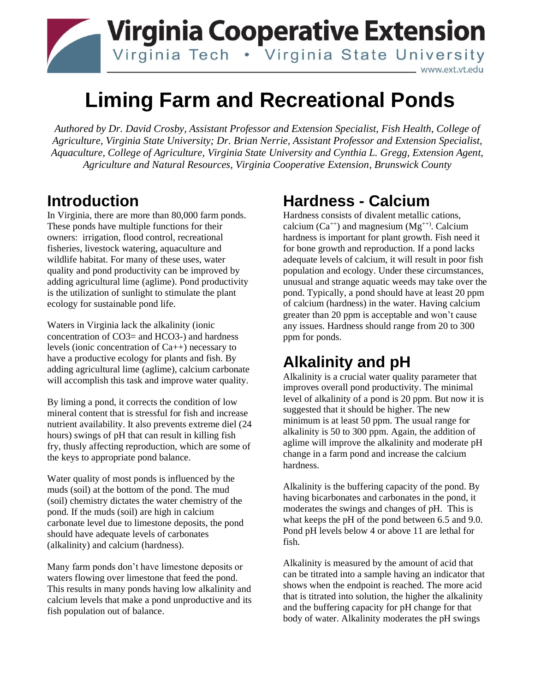

# **Liming Farm and Recreational Ponds**

*Authored by Dr. David Crosby, Assistant Professor and Extension Specialist, Fish Health, College of Agriculture, Virginia State University; Dr. Brian Nerrie, Assistant Professor and Extension Specialist, Aquaculture, College of Agriculture, Virginia State University and Cynthia L. Gregg, Extension Agent, Agriculture and Natural Resources, Virginia Cooperative Extension, Brunswick County*

#### **Introduction**

In Virginia, there are more than 80,000 farm ponds. These ponds have multiple functions for their owners: irrigation, flood control, recreational fisheries, livestock watering, aquaculture and wildlife habitat. For many of these uses, water quality and pond productivity can be improved by adding agricultural lime (aglime). Pond productivity is the utilization of sunlight to stimulate the plant ecology for sustainable pond life.

Waters in Virginia lack the alkalinity (ionic concentration of CO3= and HCO3-) and hardness levels (ionic concentration of Ca++) necessary to have a productive ecology for plants and fish. By adding agricultural lime (aglime), calcium carbonate will accomplish this task and improve water quality.

By liming a pond, it corrects the condition of low mineral content that is stressful for fish and increase nutrient availability. It also prevents extreme diel (24 hours) swings of pH that can result in killing fish fry, thusly affecting reproduction, which are some of the keys to appropriate pond balance.

Water quality of most ponds is influenced by the muds (soil) at the bottom of the pond. The mud (soil) chemistry dictates the water chemistry of the pond. If the muds (soil) are high in calcium carbonate level due to limestone deposits, the pond should have adequate levels of carbonates (alkalinity) and calcium (hardness).

Many farm ponds don't have limestone deposits or waters flowing over limestone that feed the pond. This results in many ponds having low alkalinity and calcium levels that make a pond unproductive and its fish population out of balance.

# **Hardness - Calcium**

Hardness consists of divalent metallic cations, calcium  $(Ca^{++})$  and magnesium  $(Mg^{++})$ . Calcium hardness is important for plant growth. Fish need it for bone growth and reproduction. If a pond lacks adequate levels of calcium, it will result in poor fish population and ecology. Under these circumstances, unusual and strange aquatic weeds may take over the pond. Typically, a pond should have at least 20 ppm of calcium (hardness) in the water. Having calcium greater than 20 ppm is acceptable and won't cause any issues. Hardness should range from 20 to 300 ppm for ponds.

## **Alkalinity and pH**

Alkalinity is a crucial water quality parameter that improves overall pond productivity. The minimal level of alkalinity of a pond is 20 ppm. But now it is suggested that it should be higher. The new minimum is at least 50 ppm. The usual range for alkalinity is 50 to 300 ppm. Again, the addition of aglime will improve the alkalinity and moderate pH change in a farm pond and increase the calcium hardness.

Alkalinity is the buffering capacity of the pond. By having bicarbonates and carbonates in the pond, it moderates the swings and changes of pH. This is what keeps the pH of the pond between 6.5 and 9.0. Pond pH levels below 4 or above 11 are lethal for fish.

Alkalinity is measured by the amount of acid that can be titrated into a sample having an indicator that shows when the endpoint is reached. The more acid that is titrated into solution, the higher the alkalinity and the buffering capacity for pH change for that body of water. Alkalinity moderates the pH swings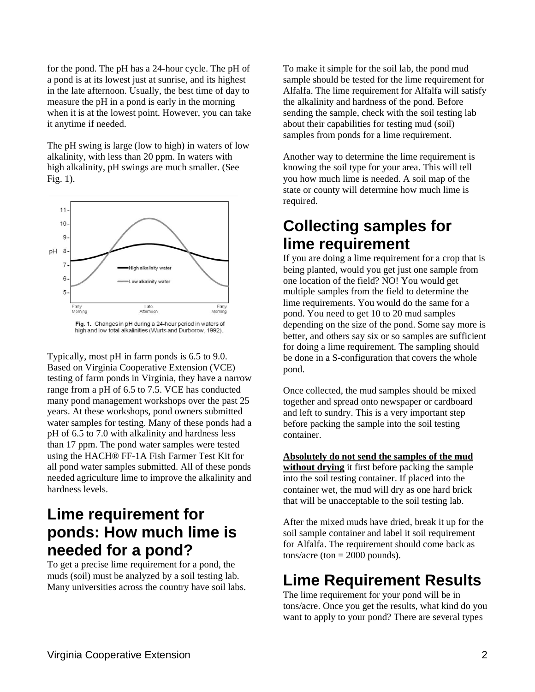for the pond. The pH has a 24-hour cycle. The pH of a pond is at its lowest just at sunrise, and its highest in the late afternoon. Usually, the best time of day to measure the pH in a pond is early in the morning when it is at the lowest point. However, you can take it anytime if needed.

The pH swing is large (low to high) in waters of low alkalinity, with less than 20 ppm. In waters with high alkalinity, pH swings are much smaller. (See Fig. 1).



Fig. 1. Changes in pH during a 24-hour period in waters of high and low total alkalinities (Wurts and Durborow, 1992).

Typically, most pH in farm ponds is 6.5 to 9.0. Based on Virginia Cooperative Extension (VCE) testing of farm ponds in Virginia, they have a narrow range from a pH of 6.5 to 7.5. VCE has conducted many pond management workshops over the past 25 years. At these workshops, pond owners submitted water samples for testing. Many of these ponds had a pH of 6.5 to 7.0 with alkalinity and hardness less than 17 ppm. The pond water samples were tested using the HACH® FF-1A Fish Farmer Test Kit for all pond water samples submitted. All of these ponds needed agriculture lime to improve the alkalinity and hardness levels.

#### **Lime requirement for ponds: How much lime is needed for a pond?**

To get a precise lime requirement for a pond, the muds (soil) must be analyzed by a soil testing lab. Many universities across the country have soil labs. To make it simple for the soil lab, the pond mud sample should be tested for the lime requirement for Alfalfa. The lime requirement for Alfalfa will satisfy the alkalinity and hardness of the pond. Before sending the sample, check with the soil testing lab about their capabilities for testing mud (soil) samples from ponds for a lime requirement.

Another way to determine the lime requirement is knowing the soil type for your area. This will tell you how much lime is needed. A soil map of the state or county will determine how much lime is required.

#### **Collecting samples for lime requirement**

If you are doing a lime requirement for a crop that is being planted, would you get just one sample from one location of the field? NO! You would get multiple samples from the field to determine the lime requirements. You would do the same for a pond. You need to get 10 to 20 mud samples depending on the size of the pond. Some say more is better, and others say six or so samples are sufficient for doing a lime requirement. The sampling should be done in a S-configuration that covers the whole pond.

Once collected, the mud samples should be mixed together and spread onto newspaper or cardboard and left to sundry. This is a very important step before packing the sample into the soil testing container.

**Absolutely do not send the samples of the mud** 

**without drying** it first before packing the sample into the soil testing container. If placed into the container wet, the mud will dry as one hard brick that will be unacceptable to the soil testing lab.

After the mixed muds have dried, break it up for the soil sample container and label it soil requirement for Alfalfa. The requirement should come back as  $tons/acre$  (ton  $= 2000$  pounds).

### **Lime Requirement Results**

The lime requirement for your pond will be in tons/acre. Once you get the results, what kind do you want to apply to your pond? There are several types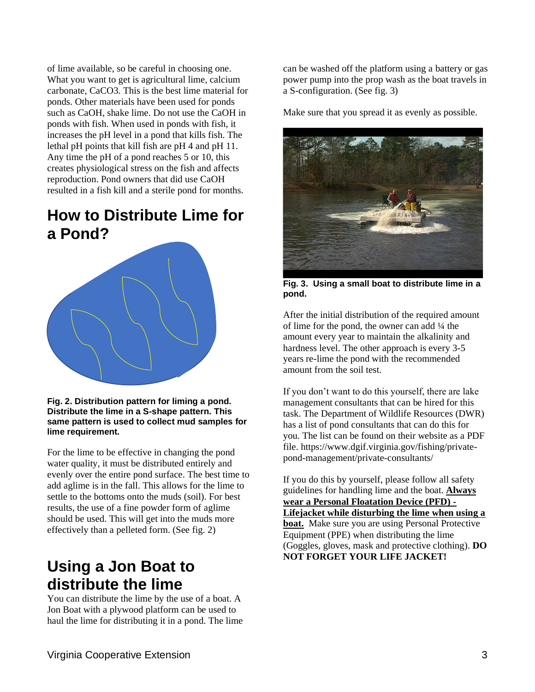of lime available, so be careful in choosing one. What you want to get is agricultural lime, calcium carbonate, CaCO3. This is the best lime material for ponds. Other materials have been used for ponds such as CaOH, shake lime. Do not use the CaOH in ponds with fish. When used in ponds with fish, it increases the pH level in a pond that kills fish. The lethal pH points that kill fish are pH 4 and pH 11. Any time the pH of a pond reaches 5 or 10, this creates physiological stress on the fish and affects reproduction. Pond owners that did use CaOH resulted in a fish kill and a sterile pond for months.

#### **How to Distribute Lime for a Pond?**



#### **Fig. 2. Distribution pattern for liming a pond. Distribute the lime in a S-shape pattern. This same pattern is used to collect mud samples for lime requirement.**

For the lime to be effective in changing the pond water quality, it must be distributed entirely and evenly over the entire pond surface. The best time to add aglime is in the fall. This allows for the lime to settle to the bottoms onto the muds (soil). For best results, the use of a fine powder form of aglime should be used. This will get into the muds more effectively than a pelleted form. (See fig. 2)

#### **Using a Jon Boat to distribute the lime**

You can distribute the lime by the use of a boat. A Jon Boat with a plywood platform can be used to haul the lime for distributing it in a pond. The lime can be washed off the platform using a battery or gas power pump into the prop wash as the boat travels in a S-configuration. (See fig. 3)

Make sure that you spread it as evenly as possible.



**Fig. 3. Using a small boat to distribute lime in a pond.**

After the initial distribution of the required amount of lime for the pond, the owner can add ¼ the amount every year to maintain the alkalinity and hardness level. The other approach is every 3-5 years re-lime the pond with the recommended amount from the soil test.

If you don't want to do this yourself, there are lake management consultants that can be hired for this task. The Department of Wildlife Resources (DWR) has a list of pond consultants that can do this for you. The list can be found on their website as a PDF file. [https://www.dgif.virginia.gov/fishing/private](https://www.dgif.virginia.gov/fishing/private-pond-management/private-consultants/)[pond-management/private-consultants/](https://www.dgif.virginia.gov/fishing/private-pond-management/private-consultants/)

If you do this by yourself, please follow all safety guidelines for handling lime and the boat. **Always wear a Personal Floatation Device (PFD) - Lifejacket while disturbing the lime when using a boat.** Make sure you are using Personal Protective Equipment (PPE) when distributing the lime (Goggles, gloves, mask and protective clothing). **DO NOT FORGET YOUR LIFE JACKET!**